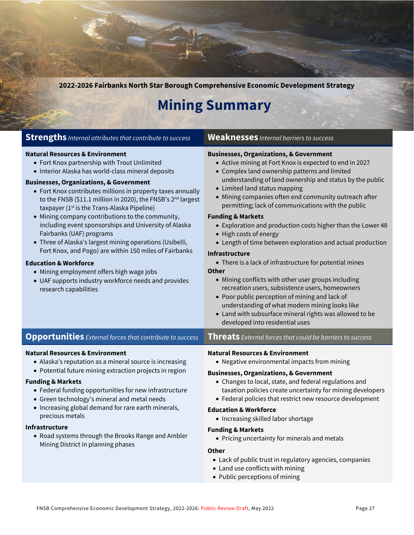**2022-2026 Fairbanks North Star Borough Comprehensive Economic Development Strategy**

## **Mining Summary**

| <b>Strengths</b> Internal attributes that contribute to success                                                                                                                                                                                                                                                                                                                                                                                                                                                                                                                                                                                                                                                                                                                                                                               | <b>Weaknesses</b> Internal barriers to success                                                                                                                                                                                                                                                                                                                                                                                                                                                                                                                                                                                                                                                                                                                                                                                                                                                                                                                                    |
|-----------------------------------------------------------------------------------------------------------------------------------------------------------------------------------------------------------------------------------------------------------------------------------------------------------------------------------------------------------------------------------------------------------------------------------------------------------------------------------------------------------------------------------------------------------------------------------------------------------------------------------------------------------------------------------------------------------------------------------------------------------------------------------------------------------------------------------------------|-----------------------------------------------------------------------------------------------------------------------------------------------------------------------------------------------------------------------------------------------------------------------------------------------------------------------------------------------------------------------------------------------------------------------------------------------------------------------------------------------------------------------------------------------------------------------------------------------------------------------------------------------------------------------------------------------------------------------------------------------------------------------------------------------------------------------------------------------------------------------------------------------------------------------------------------------------------------------------------|
| <b>Natural Resources &amp; Environment</b><br>• Fort Knox partnership with Trout Unlimited<br>• Interior Alaska has world-class mineral deposits<br><b>Businesses, Organizations, &amp; Government</b><br>• Fort Knox contributes millions in property taxes annually<br>to the FNSB (\$11.1 million in 2020), the FNSB's 2 <sup>nd</sup> largest<br>taxpayer (1 <sup>st</sup> is the Trans-Alaska Pipeline)<br>• Mining company contributions to the community,<br>including event sponsorships and University of Alaska<br>Fairbanks (UAF) programs<br>• Three of Alaska's largest mining operations (Usibelli,<br>Fort Knox, and Pogo) are within 150 miles of Fairbanks<br><b>Education &amp; Workforce</b><br>• Mining employment offers high wage jobs<br>• UAF supports industry workforce needs and provides<br>research capabilities | <b>Businesses, Organizations, &amp; Government</b><br>• Active mining at Fort Knox is expected to end in 2027<br>• Complex land ownership patterns and limited<br>understanding of land ownership and status by the public<br>• Limited land status mapping<br>• Mining companies often end community outreach after<br>permitting; lack of communications with the public<br><b>Funding &amp; Markets</b><br>• Exploration and production costs higher than the Lower 48<br>• High costs of energy<br>• Length of time between exploration and actual production<br><b>Infrastructure</b><br>• There is a lack of infrastructure for potential mines<br><b>Other</b><br>• Mining conflicts with other user groups including<br>recreation users, subsistence users, homeowners<br>• Poor public perception of mining and lack of<br>understanding of what modern mining looks like<br>• Land with subsurface mineral rights was allowed to be<br>developed into residential uses |
| <b>Opportunities</b> External forces that contribute to success                                                                                                                                                                                                                                                                                                                                                                                                                                                                                                                                                                                                                                                                                                                                                                               | <b>Threats</b> External forces that could be barriers to success                                                                                                                                                                                                                                                                                                                                                                                                                                                                                                                                                                                                                                                                                                                                                                                                                                                                                                                  |
| <b>Natural Resources &amp; Environment</b><br>• Alaska's reputation as a mineral source is increasing<br>• Potential future mining extraction projects in region<br><b>Funding &amp; Markets</b><br>• Federal funding opportunities for new infrastructure<br>• Green technology's mineral and metal needs<br>• Increasing global demand for rare earth minerals,<br>precious metals<br>Infrastructure<br>• Road systems through the Brooks Range and Ambler<br>Mining District in planning phases                                                                                                                                                                                                                                                                                                                                            | <b>Natural Resources &amp; Environment</b><br>• Negative environmental impacts from mining<br><b>Businesses, Organizations, &amp; Government</b><br>• Changes to local, state, and federal regulations and<br>taxation policies create uncertainty for mining developers<br>• Federal policies that restrict new resource development<br><b>Education &amp; Workforce</b><br>• Increasing skilled labor shortage<br><b>Funding &amp; Markets</b><br>• Pricing uncertainty for minerals and metals<br><b>Other</b><br>• Lack of public trust in regulatory agencies, companies<br>• Land use conflicts with mining                                                                                                                                                                                                                                                                                                                                                                 |

• Public perceptions of mining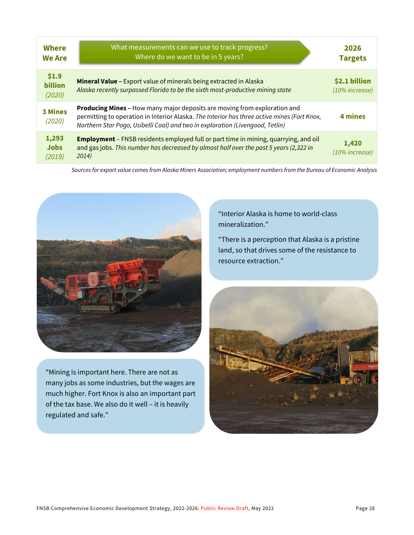| <b>Where</b><br><b>We Are</b>     | What measurements can we use to track progress?<br>Where do we want to be in 5 years?                                                                                                                                                                     | 2026<br><b>Targets</b>             |
|-----------------------------------|-----------------------------------------------------------------------------------------------------------------------------------------------------------------------------------------------------------------------------------------------------------|------------------------------------|
| \$1.9<br><b>billion</b><br>(2020) | Mineral Value - Export value of minerals being extracted in Alaska<br>Alaska recently surpassed Florida to be the sixth most-productive mining state                                                                                                      | \$2.1 billion<br>$(10\%$ increase) |
| <b>3 Mines</b><br>(2020)          | Producing Mines - How many major deposits are moving from exploration and<br>permitting to operation in Interior Alaska. The Interior has three active mines (Fort Knox,<br>Northern Star Pogo, Usibelli Coal) and two in exploration (Livengood, Tetlin) | 4 mines                            |
| 1,293<br><b>Jobs</b><br>(2019)    | <b>Employment</b> - FNSB residents employed full or part time in mining, quarrying, and oil<br>and gas jobs. This number has decreased by almost half over the past 5 years (2,322 in<br>2014)                                                            | 1,420<br>(10% increase)            |

*Sources for export value comes from Alaska Miners Association; employment numbers from the Bureau of Economic Analysis*



"Mining is important here. There are not as many jobs as some industries, but the wages are much higher. Fort Knox is also an important part of the tax base. We also do it well – it is heavily regulated and safe."

"Interior Alaska is home to world-class mineralization."

"There is a perception that Alaska is a pristine land, so that drives some of the resistance to resource extraction."

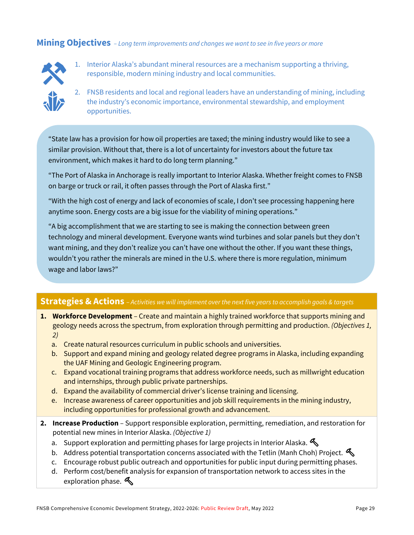#### **Mining Objectives** *– Long term improvements and changes we want to see in five years or more*



- 1. Interior Alaska's abundant mineral resources are a mechanism supporting a thriving, responsible, modern mining industry and local communities.
- 2. FNSB residents and local and regional leaders have an understanding of mining, including the industry's economic importance, environmental stewardship, and employment opportunities.

"State law has a provision for how oil properties are taxed; the mining industry would like to see a similar provision. Without that, there is a lot of uncertainty for investors about the future tax environment, which makes it hard to do long term planning."

"The Port of Alaska in Anchorage is really important to Interior Alaska. Whether freight comes to FNSB on barge or truck or rail, it often passes through the Port of Alaska first."

"With the high cost of energy and lack of economies of scale, I don't see processing happening here anytime soon. Energy costs are a big issue for the viability of mining operations."

"A big accomplishment that we are starting to see is making the connection between green technology and mineral development. Everyone wants wind turbines and solar panels but they don't want mining, and they don't realize you can't have one without the other. If you want these things, wouldn't you rather the minerals are mined in the U.S. where there is more regulation, minimum wage and labor laws?"

### **Strategies & Actions** – *Activities we will implement over the next five years to accomplish goals & targets*

- **1. Workforce Development**  Create and maintain a highly trained workforce that supports mining and geology needs across the spectrum, from exploration through permitting and production. *(Objectives 1, 2)*
	- a. Create natural resources curriculum in public schools and universities.
	- b. Support and expand mining and geology related degree programs in Alaska, including expanding the UAF Mining and Geologic Engineering program.
	- c. Expand vocational training programs that address workforce needs, such as millwright education and internships, through public private partnerships.
	- d. Expand the availability of commercial driver's license training and licensing.
	- e. Increase awareness of career opportunities and job skill requirements in the mining industry, including opportunities for professional growth and advancement.
- **2. Increase Production**  Support responsible exploration, permitting, remediation, and restoration for potential new mines in Interior Alaska. *(Objective 1)*
	- a. Support exploration and permitting phases for large projects in Interior Alaska.
	- b. Address potential transportation concerns associated with the Tetlin (Manh Choh) Project.
	- c. Encourage robust public outreach and opportunities for public input during permitting phases.
	- d. Perform cost/benefit analysis for expansion of transportation network to access sites in the exploration phase.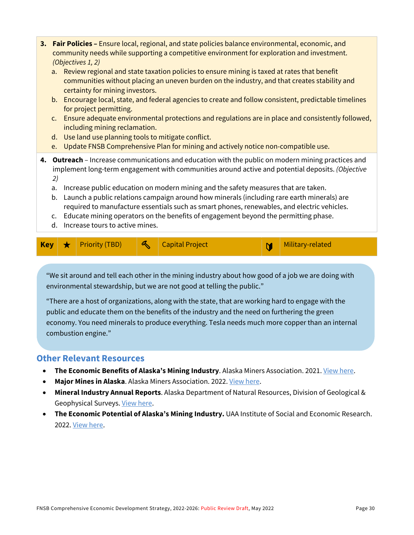|                                                                                                                                                                                                                                                                                                                                                                                                                                                                                                                                                                                                                                                               | 3. Fair Policies - Ensure local, regional, and state policies balance environmental, economic, and<br>community needs while supporting a competitive environment for exploration and investment.<br>(Objectives 1, 2)<br>Review regional and state taxation policies to ensure mining is taxed at rates that benefit<br>a.<br>communities without placing an uneven burden on the industry, and that creates stability and<br>certainty for mining investors.<br>b. Encourage local, state, and federal agencies to create and follow consistent, predictable timelines<br>for project permitting.<br>c. Ensure adequate environmental protections and regulations are in place and consistently followed,<br>including mining reclamation.<br>d. Use land use planning tools to mitigate conflict.<br>Update FNSB Comprehensive Plan for mining and actively notice non-compatible use.<br>e. |                       |   |                        |   |                  |
|---------------------------------------------------------------------------------------------------------------------------------------------------------------------------------------------------------------------------------------------------------------------------------------------------------------------------------------------------------------------------------------------------------------------------------------------------------------------------------------------------------------------------------------------------------------------------------------------------------------------------------------------------------------|------------------------------------------------------------------------------------------------------------------------------------------------------------------------------------------------------------------------------------------------------------------------------------------------------------------------------------------------------------------------------------------------------------------------------------------------------------------------------------------------------------------------------------------------------------------------------------------------------------------------------------------------------------------------------------------------------------------------------------------------------------------------------------------------------------------------------------------------------------------------------------------------|-----------------------|---|------------------------|---|------------------|
| 4. Outreach - Increase communications and education with the public on modern mining practices and<br>implement long-term engagement with communities around active and potential deposits. (Objective<br>2)<br>Increase public education on modern mining and the safety measures that are taken.<br>a.<br>Launch a public relations campaign around how minerals (including rare earth minerals) are<br>b.<br>required to manufacture essentials such as smart phones, renewables, and electric vehicles.<br>Educate mining operators on the benefits of engagement beyond the permitting phase.<br>$\mathsf{C}$ .<br>Increase tours to active mines.<br>d. |                                                                                                                                                                                                                                                                                                                                                                                                                                                                                                                                                                                                                                                                                                                                                                                                                                                                                                |                       |   |                        |   |                  |
| <b>Key</b>                                                                                                                                                                                                                                                                                                                                                                                                                                                                                                                                                                                                                                                    | ╈                                                                                                                                                                                                                                                                                                                                                                                                                                                                                                                                                                                                                                                                                                                                                                                                                                                                                              | <b>Priority (TBD)</b> | ᄶ | <b>Capital Project</b> | M | Military-related |

"We sit around and tell each other in the mining industry about how good of a job we are doing with environmental stewardship, but we are not good at telling the public."

"There are a host of organizations, along with the state, that are working hard to engage with the public and educate them on the benefits of the industry and the need on furthering the green economy. You need minerals to produce everything. Tesla needs much more copper than an internal combustion engine."

### **Other Relevant Resources**

- **The Economic Benefits of Alaska's Mining Industry**. Alaska Miners Association. 2021[. View here.](https://www.mcdowellgroup.net/wp-content/uploads/2021/03/ama-summary-brochure-february-2021.pdf)
- **Major Mines in Alaska**. Alaska Miners Association. 2022[. View here.](http://www.alaskaminers.org/major-mines)
- **Mineral Industry Annual Reports**. Alaska Department of Natural Resources, Division of Geological & Geophysical Surveys[. View here.](https://dggs.alaska.gov/pubs/minerals)
- **The Economic Potential of Alaska's Mining Industry.** UAA Institute of Social and Economic Research. 2022. [View here.](https://pubs.iseralaska.org/media/3d997682-6e6e-48d9-8577-d4189fe80d71/EconomicPotential_of_AKs_Mining.pdf)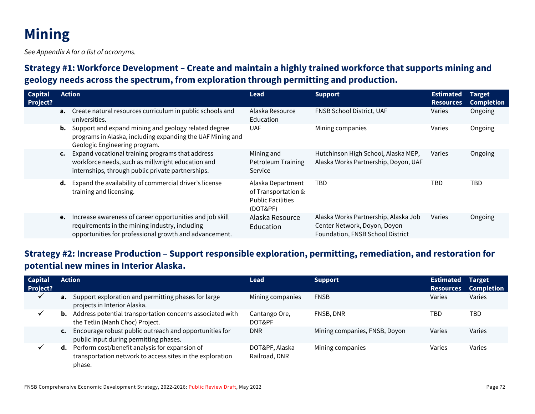# **Mining**

*See Appendix A for a list of acronyms.*

## **Strategy #1: Workforce Development – Create and maintain a highly trained workforce that supports mining and geology needs across the spectrum, from exploration through permitting and production.**

| <b>Capital</b><br>Project? |                | <b>Action</b>                                                                                                                                                        | <b>Lead</b>                                                                      | <b>Support</b>                                                                                           | <b>Estimated</b><br><b>Resources</b> | <b>Target</b><br><b>Completion</b> |
|----------------------------|----------------|----------------------------------------------------------------------------------------------------------------------------------------------------------------------|----------------------------------------------------------------------------------|----------------------------------------------------------------------------------------------------------|--------------------------------------|------------------------------------|
|                            |                | <b>a.</b> Create natural resources curriculum in public schools and<br>universities.                                                                                 | Alaska Resource<br>Education                                                     | <b>FNSB School District, UAF</b>                                                                         | Varies                               | Ongoing                            |
|                            |                | <b>b.</b> Support and expand mining and geology related degree<br>programs in Alaska, including expanding the UAF Mining and<br>Geologic Engineering program.        | <b>UAF</b>                                                                       | Mining companies                                                                                         | Varies                               | Ongoing                            |
|                            | $\mathsf{c}$ . | Expand vocational training programs that address<br>workforce needs, such as millwright education and<br>internships, through public private partnerships.           | Mining and<br><b>Petroleum Training</b><br>Service                               | Hutchinson High School, Alaska MEP,<br>Alaska Works Partnership, Doyon, UAF                              | Varies                               | Ongoing                            |
|                            |                | d. Expand the availability of commercial driver's license<br>training and licensing.                                                                                 | Alaska Department<br>of Transportation &<br><b>Public Facilities</b><br>(DOT&PF) | <b>TBD</b>                                                                                               | <b>TBD</b>                           | <b>TBD</b>                         |
|                            | e.             | Increase awareness of career opportunities and job skill<br>requirements in the mining industry, including<br>opportunities for professional growth and advancement. | Alaska Resource<br>Education                                                     | Alaska Works Partnership, Alaska Job<br>Center Network, Doyon, Doyon<br>Foundation, FNSB School District | Varies                               | Ongoing                            |

## **Strategy #2: Increase Production – Support responsible exploration, permitting, remediation, and restoration for potential new mines in Interior Alaska.**

| <b>Capital</b><br>Project? | <b>Action</b>                                                                                                                   | <b>Lead</b>                     | <b>Support</b>                | <b>Estimated</b><br><b>Resources</b> | <b>Target</b><br><b>Completion</b> |
|----------------------------|---------------------------------------------------------------------------------------------------------------------------------|---------------------------------|-------------------------------|--------------------------------------|------------------------------------|
| v                          | <b>a.</b> Support exploration and permitting phases for large<br>projects in Interior Alaska.                                   | Mining companies                | <b>FNSB</b>                   | Varies                               | Varies                             |
|                            | Address potential transportation concerns associated with<br>b.<br>the Tetlin (Manh Choc) Project.                              | Cantango Ore,<br>DOT&PF         | FNSB, DNR                     | TBD                                  | TBD                                |
|                            | Encourage robust public outreach and opportunities for<br>$\mathsf{c}$ .<br>public input during permitting phases.              | <b>DNR</b>                      | Mining companies, FNSB, Doyon | Varies                               | Varies                             |
|                            | <b>d.</b> Perform cost/benefit analysis for expansion of<br>transportation network to access sites in the exploration<br>phase. | DOT&PF, Alaska<br>Railroad, DNR | Mining companies              | Varies                               | Varies                             |